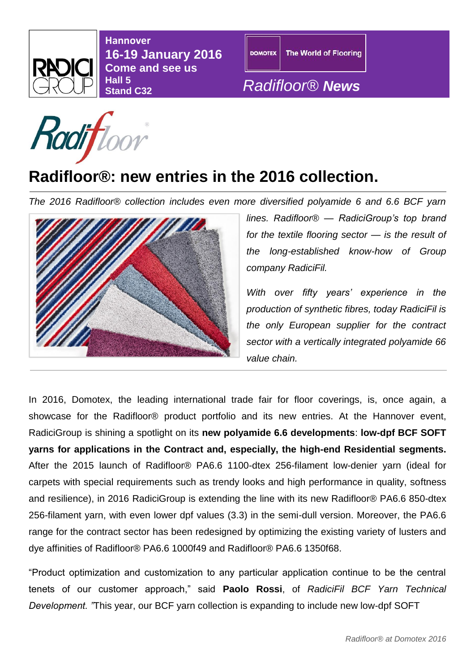

**Hannover 16-19 January 2016 Come and see us Hall 5** 



## **Stand C32** *Radifloor® News*

## **Radifloor®: new entries in the 2016 collection.**

*The 2016 Radifloor® collection includes even more diversified polyamide 6 and 6.6 BCF yarn* 



*lines. Radifloor® — RadiciGroup's top brand for the textile flooring sector — is the result of the long-established know-how of Group company RadiciFil.* 

*With over fifty years' experience in the production of synthetic fibres, today RadiciFil is the only European supplier for the contract sector with a vertically integrated polyamide 66 value chain.*

In 2016, Domotex, the leading international trade fair for floor coverings, is, once again, a showcase for the Radifloor® product portfolio and its new entries. At the Hannover event, RadiciGroup is shining a spotlight on its **new polyamide 6.6 developments**: **low-dpf BCF SOFT yarns for applications in the Contract and, especially, the high-end Residential segments.** After the 2015 launch of Radifloor® PA6.6 1100-dtex 256-filament low-denier yarn (ideal for carpets with special requirements such as trendy looks and high performance in quality, softness and resilience), in 2016 RadiciGroup is extending the line with its new Radifloor® PA6.6 850-dtex 256-filament yarn, with even lower dpf values (3.3) in the semi-dull version. Moreover, the PA6.6 range for the contract sector has been redesigned by optimizing the existing variety of lusters and dye affinities of Radifloor® PA6.6 1000f49 and Radifloor® PA6.6 1350f68.

"Product optimization and customization to any particular application continue to be the central tenets of our customer approach," said **Paolo Rossi**, of *RadiciFil BCF Yarn Technical Development. "*This year, our BCF yarn collection is expanding to include new low-dpf SOFT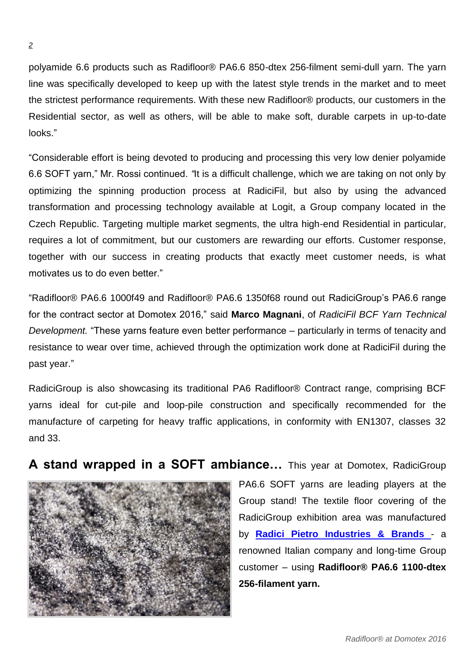polyamide 6.6 products such as Radifloor® PA6.6 850-dtex 256-filment semi-dull yarn. The yarn line was specifically developed to keep up with the latest style trends in the market and to meet the strictest performance requirements. With these new Radifloor® products, our customers in the Residential sector, as well as others, will be able to make soft, durable carpets in up-to-date looks."

"Considerable effort is being devoted to producing and processing this very low denier polyamide 6.6 SOFT yarn," Mr. Rossi continued. *"*It is a difficult challenge, which we are taking on not only by optimizing the spinning production process at RadiciFil, but also by using the advanced transformation and processing technology available at Logit, a Group company located in the Czech Republic. Targeting multiple market segments, the ultra high-end Residential in particular, requires a lot of commitment, but our customers are rewarding our efforts. Customer response, together with our success in creating products that exactly meet customer needs, is what motivates us to do even better."

"Radifloor® PA6.6 1000f49 and Radifloor® PA6.6 1350f68 round out RadiciGroup's PA6.6 range for the contract sector at Domotex 2016," said **Marco Magnani**, of *RadiciFil BCF Yarn Technical Development.* "These yarns feature even better performance – particularly in terms of tenacity and resistance to wear over time, achieved through the optimization work done at RadiciFil during the past year."

RadiciGroup is also showcasing its traditional PA6 Radifloor® Contract range, comprising BCF yarns ideal for cut-pile and loop-pile construction and specifically recommended for the manufacture of carpeting for heavy traffic applications, in conformity with EN1307, classes 32 and 33.

**A stand wrapped in a SOFT ambiance…** This year at Domotex, RadiciGroup



PA6.6 SOFT yarns are leading players at the Group stand! The textile floor covering of the RadiciGroup exhibition area was manufactured by **[Radici Pietro Industries &](http://www.sit-in.it/it/default.aspx) Brands** - a renowned Italian company and long-time Group customer – using **Radifloor® PA6.6 1100-dtex 256-filament yarn.**